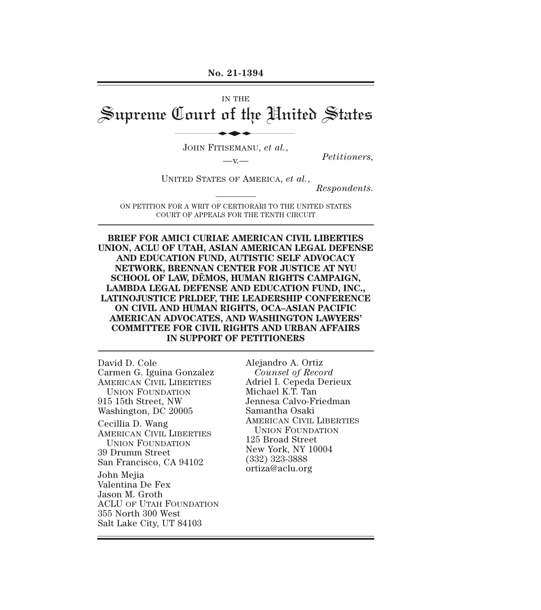#### **No. 21-1394**

# IN THE Supreme Court of the United States No. 21-1394<br>IN THE<br>Lourt of the Uni

JOHN FITISEMANU, *et al.*,

—v.— *Petitioners,* 

UNITED STATES OF AMERICA, *et al.*,

*Respondents.* 

ON PETITION FOR A WRIT OF CERTIORARI TO THE UNITED STATES COURT OF APPEALS FOR THE TENTH CIRCUIT

#### **BRIEF FOR AMICI CURIAE AMERICAN CIVIL LIBERTIES UNION, ACLU OF UTAH, ASIAN AMERICAN LEGAL DEFENSE AND EDUCATION FUND, AUTISTIC SELF ADVOCACY NETWORK, BRENNAN CENTER FOR JUSTICE AT NYU SCHOOL OF LAW, DĒMOS, HUMAN RIGHTS CAMPAIGN, LAMBDA LEGAL DEFENSE AND EDUCATION FUND, INC., LATINOJUSTICE PRLDEF, THE LEADERSHIP CONFERENCE ON CIVIL AND HUMAN RIGHTS, OCA–ASIAN PACIFIC AMERICAN ADVOCATES, AND WASHINGTON LAWYERS' COMMITTEE FOR CIVIL RIGHTS AND URBAN AFFAIRS IN SUPPORT OF PETITIONERS**

David D. Cole Carmen G. Iguina Gonzalez AMERICAN CIVIL LIBERTIES UNION FOUNDATION 915 15th Street, NW Washington, DC 20005 Cecillia D. Wang AMERICAN CIVIL LIBERTIES UNION FOUNDATION 39 Drumm Street San Francisco, CA 94102 John Mejia Valentina De Fex Jason M. Groth ACLU OF UTAH FOUNDATION 355 North 300 West Salt Lake City, UT 84103

Alejandro A. Ortiz *Counsel of Record*  Adriel I. Cepeda Derieux Michael K.T. Tan Jennesa Calvo-Friedman Samantha Osaki AMERICAN CIVIL LIBERTIES UNION FOUNDATION 125 Broad Street New York, NY 10004 (332) 323-3888 ortiza@aclu.org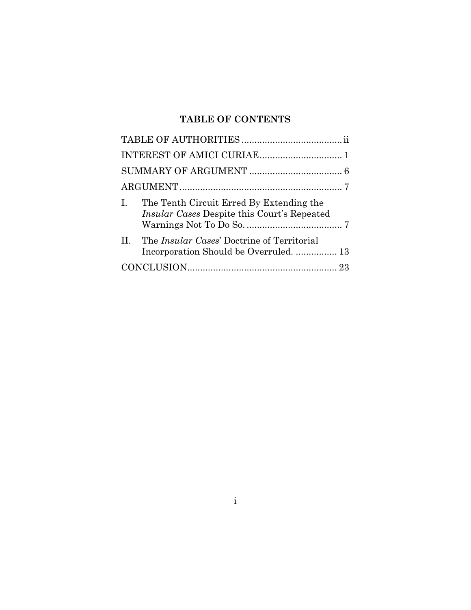# **TABLE OF CONTENTS**

| I. The Tenth Circuit Erred By Extending the<br><i>Insular Cases Despite this Court's Repeated</i> |  |
|---------------------------------------------------------------------------------------------------|--|
| II. The <i>Insular Cases</i> ' Doctrine of Territorial                                            |  |
|                                                                                                   |  |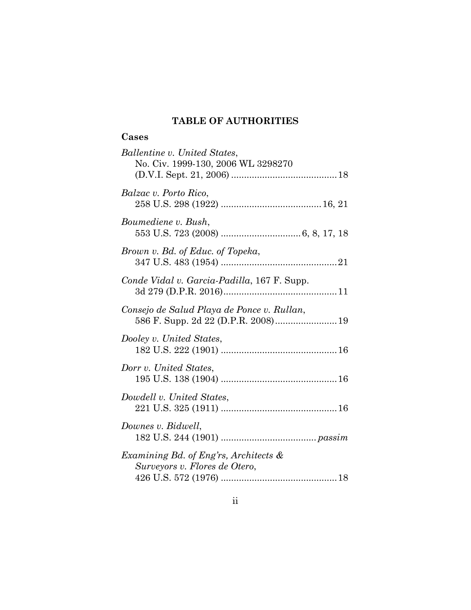# **TABLE OF AUTHORITIES**

# **Cases**

<span id="page-2-0"></span>

| Ballentine v. United States,<br>No. Civ. 1999-130, 2006 WL 3298270                |
|-----------------------------------------------------------------------------------|
| Balzac v. Porto Rico,                                                             |
| Boumediene v. Bush,                                                               |
| Brown v. Bd. of Educ. of Topeka,                                                  |
| Conde Vidal v. Garcia-Padilla, 167 F. Supp.                                       |
| Consejo de Salud Playa de Ponce v. Rullan,<br>586 F. Supp. 2d 22 (D.P.R. 2008) 19 |
| Dooley v. United States,                                                          |
| Dorr v. United States,                                                            |
| Dowdell v. United States,                                                         |
| Downes v. Bidwell,                                                                |
| Examining Bd. of Eng'rs, Architects &<br>Surveyors v. Flores de Otero,            |
|                                                                                   |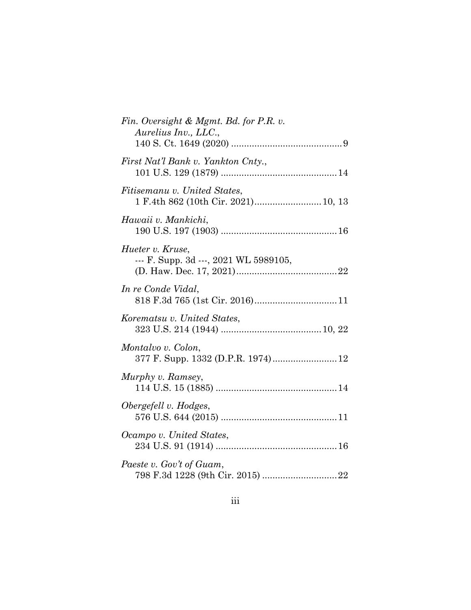| Fin. Oversight & Mgmt. Bd. for P.R. v.<br>Aurelius Inv., LLC.,      |
|---------------------------------------------------------------------|
| First Nat'l Bank v. Yankton Cnty.,                                  |
| Fitisemanu v. United States,<br>1 F.4th 862 (10th Cir. 2021) 10, 13 |
| Hawaii v. Mankichi,                                                 |
| Hueter v. Kruse,<br>--- F. Supp. 3d ---, 2021 WL 5989105,           |
| In re Conde Vidal,                                                  |
| Korematsu v. United States,                                         |
| Montalvo v. Colon,<br>377 F. Supp. 1332 (D.P.R. 1974) 12            |
| Murphy v. Ramsey,                                                   |
| Obergefell v. Hodges,                                               |
| Ocampo v. United States,                                            |
| Paeste v. Gov't of Guam,                                            |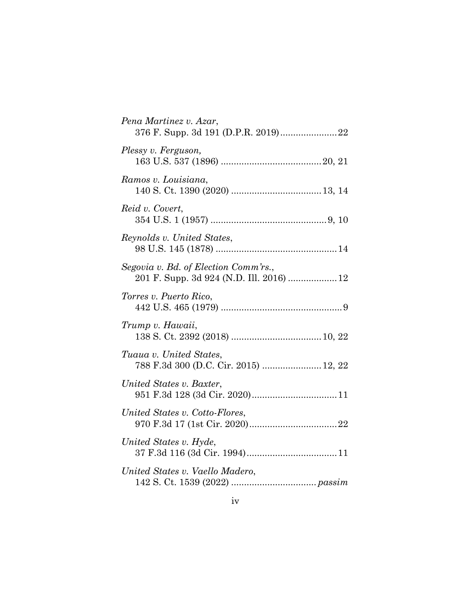| Pena Martinez v. Azar,                                           |
|------------------------------------------------------------------|
| Plessy v. Ferguson,                                              |
| Ramos v. Louisiana,                                              |
| Reid v. Covert,                                                  |
| Reynolds v. United States,                                       |
| Segovia v. Bd. of Election Comm'rs.,                             |
| Torres v. Puerto Rico,                                           |
| Trump v. Hawaii,                                                 |
| Tuaua v. United States,<br>788 F.3d 300 (D.C. Cir. 2015)  12, 22 |
| United States v. Baxter,                                         |
| United States v. Cotto-Flores,                                   |
| United States v. Hyde,                                           |
| United States v. Vaello Madero,                                  |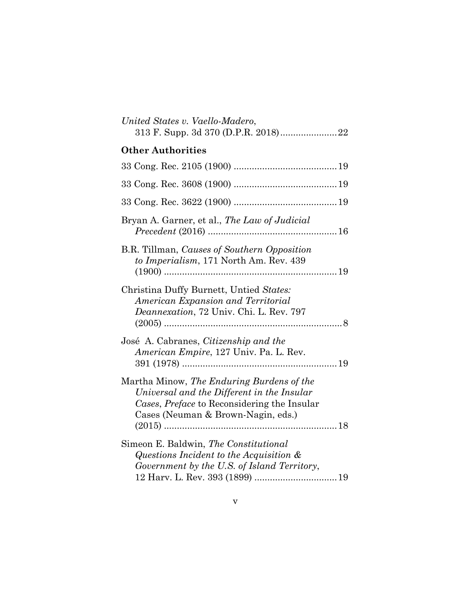| United States v. Vaello-Madero,                                                                                                                                              |
|------------------------------------------------------------------------------------------------------------------------------------------------------------------------------|
| <b>Other Authorities</b>                                                                                                                                                     |
|                                                                                                                                                                              |
|                                                                                                                                                                              |
|                                                                                                                                                                              |
| Bryan A. Garner, et al., The Law of Judicial                                                                                                                                 |
| B.R. Tillman, Causes of Southern Opposition<br>to Imperialism, 171 North Am. Rev. 439                                                                                        |
| Christina Duffy Burnett, Untied States:<br>American Expansion and Territorial<br>Deannexation, 72 Univ. Chi. L. Rev. 797                                                     |
| José A. Cabranes, Citizenship and the<br>American Empire, 127 Univ. Pa. L. Rev.                                                                                              |
| Martha Minow, The Enduring Burdens of the<br>Universal and the Different in the Insular<br>Cases, Preface to Reconsidering the Insular<br>Cases (Neuman & Brown-Nagin, eds.) |
| Simeon E. Baldwin, The Constitutional<br>Questions Incident to the Acquisition &<br>Government by the U.S. of Island Territory,                                              |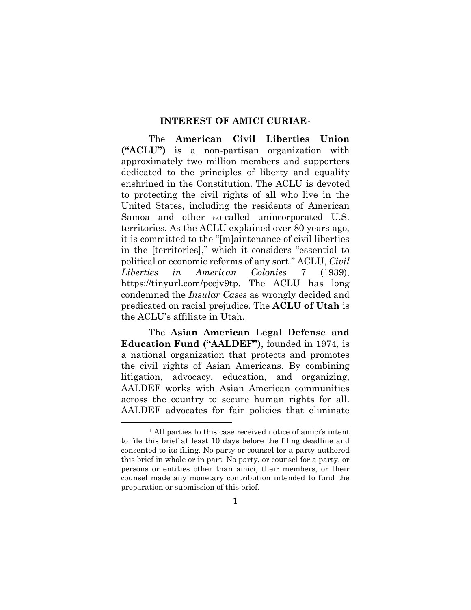#### **INTEREST OF AMICI CURIAE**[1](#page-6-1)

<span id="page-6-0"></span>The **American Civil Liberties Union ("ACLU")** is a non-partisan organization with approximately two million members and supporters dedicated to the principles of liberty and equality enshrined in the Constitution. The ACLU is devoted to protecting the civil rights of all who live in the United States, including the residents of American Samoa and other so-called unincorporated U.S. territories. As the ACLU explained over 80 years ago, it is committed to the "[m]aintenance of civil liberties in the [territories]," which it considers "essential to political or economic reforms of any sort." ACLU, *Civil Liberties in American Colonies* 7 (1939), https://tinyurl.com/pccjv9tp. The ACLU has long condemned the *Insular Cases* as wrongly decided and predicated on racial prejudice. The **ACLU of Utah** is the ACLU's affiliate in Utah.

The **Asian American Legal Defense and Education Fund ("AALDEF")**, founded in 1974, is a national organization that protects and promotes the civil rights of Asian Americans. By combining litigation, advocacy, education, and organizing, AALDEF works with Asian American communities across the country to secure human rights for all. AALDEF advocates for fair policies that eliminate

<span id="page-6-1"></span><sup>&</sup>lt;sup>1</sup> All parties to this case received notice of amici's intent to file this brief at least 10 days before the filing deadline and consented to its filing. No party or counsel for a party authored this brief in whole or in part. No party, or counsel for a party, or persons or entities other than amici, their members, or their counsel made any monetary contribution intended to fund the preparation or submission of this brief.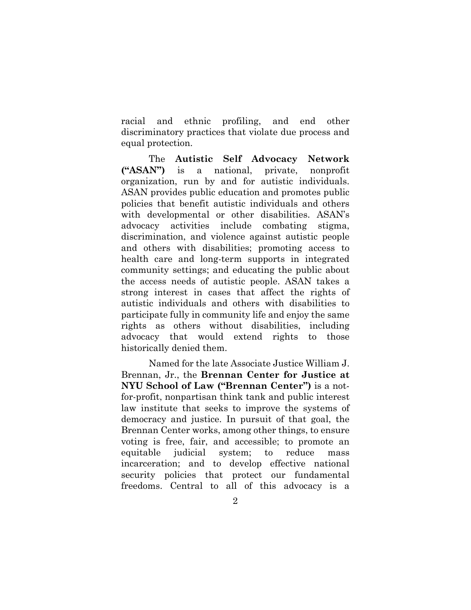racial and ethnic profiling, and end other discriminatory practices that violate due process and equal protection.

The **Autistic Self Advocacy Network ("ASAN")** is a national, private, nonprofit organization, run by and for autistic individuals. ASAN provides public education and promotes public policies that benefit autistic individuals and others with developmental or other disabilities. ASAN's advocacy activities include combating stigma, discrimination, and violence against autistic people and others with disabilities; promoting access to health care and long-term supports in integrated community settings; and educating the public about the access needs of autistic people. ASAN takes a strong interest in cases that affect the rights of autistic individuals and others with disabilities to participate fully in community life and enjoy the same rights as others without disabilities, including advocacy that would extend rights to those historically denied them.

Named for the late Associate Justice William J. Brennan, Jr., the **Brennan Center for Justice at NYU School of Law ("Brennan Center")** is a notfor-profit, nonpartisan think tank and public interest law institute that seeks to improve the systems of democracy and justice. In pursuit of that goal, the Brennan Center works, among other things, to ensure voting is free, fair, and accessible; to promote an equitable judicial system; to reduce mass incarceration; and to develop effective national security policies that protect our fundamental freedoms. Central to all of this advocacy is a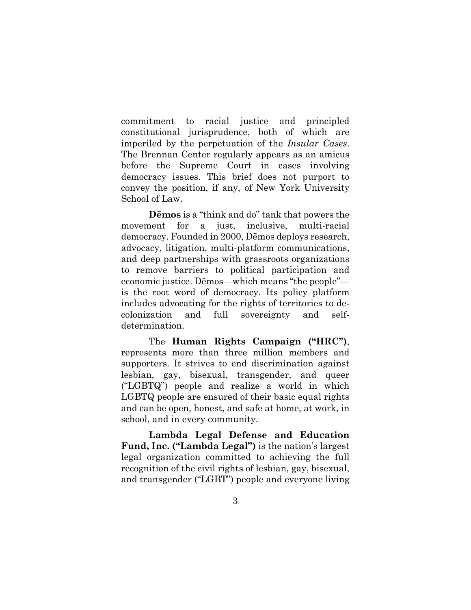commitment to racial justice and principled constitutional jurisprudence, both of which are imperiled by the perpetuation of the *Insular Cases*. The Brennan Center regularly appears as an amicus before the Supreme Court in cases involving democracy issues. This brief does not purport to convey the position, if any, of New York University School of Law.

**Dēmos** is a "think and do" tank that powers the movement for a just, inclusive, multi-racial democracy. Founded in 2000, Dēmos deploys research, advocacy, litigation, multi-platform communications, and deep partnerships with grassroots organizations to remove barriers to political participation and economic justice. Dēmos—which means "the people" is the root word of democracy. Its policy platform includes advocating for the rights of territories to decolonization and full sovereignty and selfdetermination.

The **Human Rights Campaign ("HRC")**, represents more than three million members and supporters. It strives to end discrimination against lesbian, gay, bisexual, transgender, and queer ("LGBTQ") people and realize a world in which LGBTQ people are ensured of their basic equal rights and can be open, honest, and safe at home, at work, in school, and in every community.

**Lambda Legal Defense and Education Fund, Inc. ("Lambda Legal")** is the nation's largest legal organization committed to achieving the full recognition of the civil rights of lesbian, gay, bisexual, and transgender ("LGBT") people and everyone living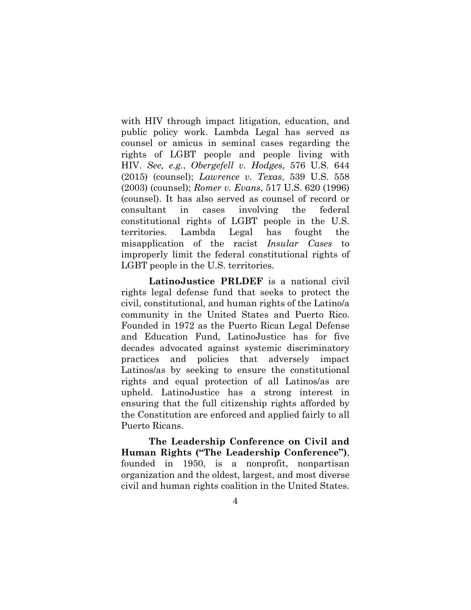with HIV through impact litigation, education, and public policy work. Lambda Legal has served as counsel or amicus in seminal cases regarding the rights of LGBT people and people living with HIV. *See, e.g.*, *Obergefell v. Hodges*, 576 U.S. 644 (2015) (counsel); *Lawrence v. Texas*, 539 U.S. 558 (2003) (counsel); *Romer v. Evans*, 517 U.S. 620 (1996) (counsel). It has also served as counsel of record or consultant in cases involving the federal constitutional rights of LGBT people in the U.S. territories. Lambda Legal has fought the misapplication of the racist *Insular Cases* to improperly limit the federal constitutional rights of LGBT people in the U.S. territories.

**LatinoJustice PRLDEF** is a national civil rights legal defense fund that seeks to protect the civil, constitutional, and human rights of the Latino/a community in the United States and Puerto Rico. Founded in 1972 as the Puerto Rican Legal Defense and Education Fund, LatinoJustice has for five decades advocated against systemic discriminatory practices and policies that adversely impact Latinos/as by seeking to ensure the constitutional rights and equal protection of all Latinos/as are upheld. LatinoJustice has a strong interest in ensuring that the full citizenship rights afforded by the Constitution are enforced and applied fairly to all Puerto Ricans.

**The Leadership Conference on Civil and Human Rights ("The Leadership Conference")**, founded in 1950, is a nonprofit, nonpartisan organization and the oldest, largest, and most diverse civil and human rights coalition in the United States.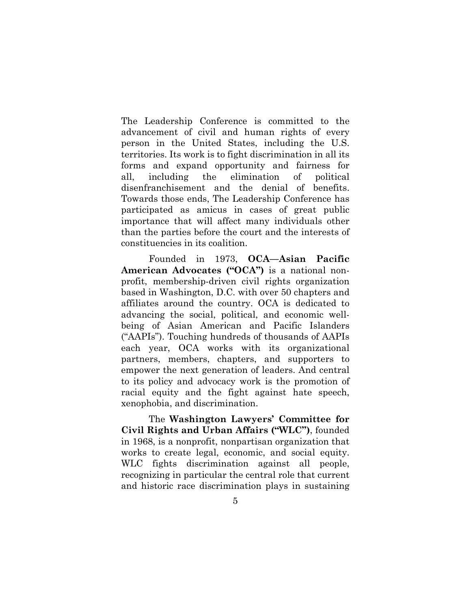The Leadership Conference is committed to the advancement of civil and human rights of every person in the United States, including the U.S. territories. Its work is to fight discrimination in all its forms and expand opportunity and fairness for all, including the elimination of political disenfranchisement and the denial of benefits. Towards those ends, The Leadership Conference has participated as amicus in cases of great public importance that will affect many individuals other than the parties before the court and the interests of constituencies in its coalition.

Founded in 1973, **OCA—Asian Pacific American Advocates ("OCA")** is a national nonprofit, membership-driven civil rights organization based in Washington, D.C. with over 50 chapters and affiliates around the country. OCA is dedicated to advancing the social, political, and economic wellbeing of Asian American and Pacific Islanders ("AAPIs"). Touching hundreds of thousands of AAPIs each year, OCA works with its organizational partners, members, chapters, and supporters to empower the next generation of leaders. And central to its policy and advocacy work is the promotion of racial equity and the fight against hate speech, xenophobia, and discrimination.

The **Washington Lawyers' Committee for Civil Rights and Urban Affairs ("WLC")**, founded in 1968, is a nonprofit, nonpartisan organization that works to create legal, economic, and social equity. WLC fights discrimination against all people, recognizing in particular the central role that current and historic race discrimination plays in sustaining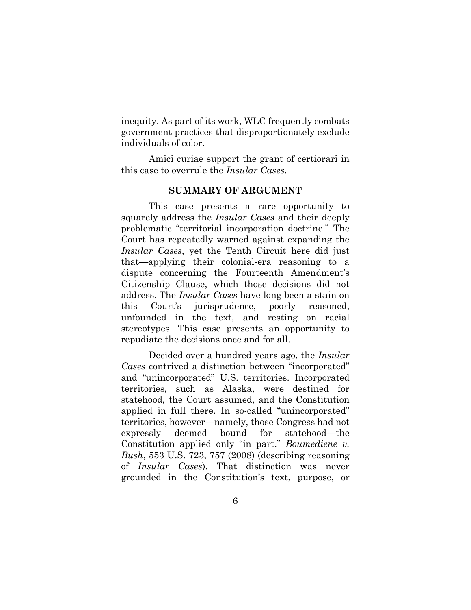inequity. As part of its work, WLC frequently combats government practices that disproportionately exclude individuals of color.

Amici curiae support the grant of certiorari in this case to overrule the *Insular Cases*.

#### **SUMMARY OF ARGUMENT**

<span id="page-11-0"></span>This case presents a rare opportunity to squarely address the *Insular Cases* and their deeply problematic "territorial incorporation doctrine." The Court has repeatedly warned against expanding the *Insular Cases*, yet the Tenth Circuit here did just that—applying their colonial-era reasoning to a dispute concerning the Fourteenth Amendment's Citizenship Clause, which those decisions did not address. The *Insular Cases* have long been a stain on this Court's jurisprudence, poorly reasoned, unfounded in the text, and resting on racial stereotypes. This case presents an opportunity to repudiate the decisions once and for all.

Decided over a hundred years ago, the *Insular Cases* contrived a distinction between "incorporated" and "unincorporated" U.S. territories. Incorporated territories, such as Alaska, were destined for statehood, the Court assumed, and the Constitution applied in full there. In so-called "unincorporated" territories, however—namely, those Congress had not expressly deemed bound for statehood—the Constitution applied only "in part." *Boumediene v. Bush*, 553 U.S. 723, 757 (2008) (describing reasoning of *Insular Cases*). That distinction was never grounded in the Constitution's text, purpose, or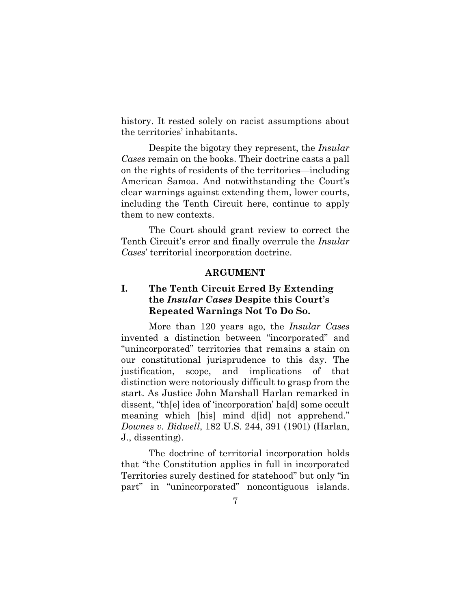history. It rested solely on racist assumptions about the territories' inhabitants.

Despite the bigotry they represent, the *Insular Cases* remain on the books. Their doctrine casts a pall on the rights of residents of the territories—including American Samoa. And notwithstanding the Court's clear warnings against extending them, lower courts, including the Tenth Circuit here, continue to apply them to new contexts.

The Court should grant review to correct the Tenth Circuit's error and finally overrule the *Insular Cases*' territorial incorporation doctrine.

#### **ARGUMENT**

## **I. The Tenth Circuit Erred By Extending the** *Insular Cases* **Despite this Court's Repeated Warnings Not To Do So.**

<span id="page-12-1"></span><span id="page-12-0"></span>More than 120 years ago, the *Insular Cases* invented a distinction between "incorporated" and "unincorporated" territories that remains a stain on our constitutional jurisprudence to this day. The justification, scope, and implications of that distinction were notoriously difficult to grasp from the start. As Justice John Marshall Harlan remarked in dissent, "th[e] idea of 'incorporation' ha[d] some occult meaning which [his] mind d[id] not apprehend." *Downes v. Bidwell*, 182 U.S. 244, 391 (1901) (Harlan, J., dissenting).

The doctrine of territorial incorporation holds that "the Constitution applies in full in incorporated Territories surely destined for statehood" but only "in part" in "unincorporated" noncontiguous islands.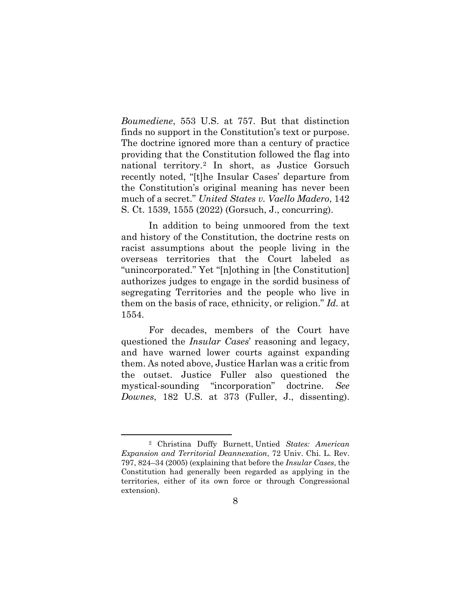*Boumediene*, 553 U.S. at 757. But that distinction finds no support in the Constitution's text or purpose. The doctrine ignored more than a century of practice providing that the Constitution followed the flag into national territory.[2](#page-13-0) In short, as Justice Gorsuch recently noted, "[t]he Insular Cases' departure from the Constitution's original meaning has never been much of a secret." *United States v. Vaello Madero*, 142 S. Ct. 1539, 1555 (2022) (Gorsuch, J., concurring).

In addition to being unmoored from the text and history of the Constitution, the doctrine rests on racist assumptions about the people living in the overseas territories that the Court labeled as "unincorporated." Yet "[n]othing in [the Constitution] authorizes judges to engage in the sordid business of segregating Territories and the people who live in them on the basis of race, ethnicity, or religion." *Id.* at 1554.

For decades, members of the Court have questioned the *Insular Cases*' reasoning and legacy, and have warned lower courts against expanding them. As noted above, Justice Harlan was a critic from the outset. Justice Fuller also questioned the mystical-sounding "incorporation" doctrine. *See Downes*, 182 U.S. at 373 (Fuller, J., dissenting).

<span id="page-13-0"></span><sup>2</sup> Christina Duffy Burnett, Untied *States: American Expansion and Territorial Deannexation*, 72 Univ. Chi. L. Rev. 797, 824–34 (2005) (explaining that before the *Insular Cases*, the Constitution had generally been regarded as applying in the territories, either of its own force or through Congressional extension).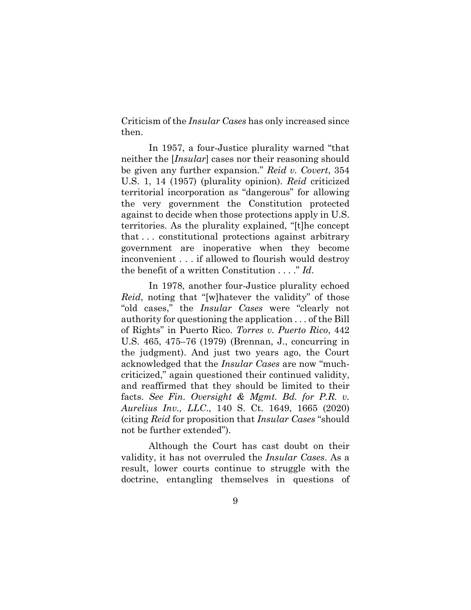Criticism of the *Insular Cases* has only increased since then.

In 1957, a four-Justice plurality warned "that neither the [*Insular*] cases nor their reasoning should be given any further expansion." *Reid v. Covert*, 354 U.S. 1, 14 (1957) (plurality opinion). *Reid* criticized territorial incorporation as "dangerous" for allowing the very government the Constitution protected against to decide when those protections apply in U.S. territories. As the plurality explained, "[t]he concept that . . . constitutional protections against arbitrary government are inoperative when they become inconvenient . . . if allowed to flourish would destroy the benefit of a written Constitution . . . ." *Id*.

In 1978, another four-Justice plurality echoed *Reid*, noting that "[w]hatever the validity" of those "old cases," the *Insular Cases* were "clearly not authority for questioning the application . . . of the Bill of Rights" in Puerto Rico. *Torres v. Puerto Rico*, 442 U.S. 465, 475–76 (1979) (Brennan, J., concurring in the judgment). And just two years ago, the Court acknowledged that the *Insular Cases* are now "muchcriticized," again questioned their continued validity, and reaffirmed that they should be limited to their facts. *See Fin. Oversight & Mgmt. Bd. for P.R. v. Aurelius Inv., LLC*., 140 S. Ct. 1649, 1665 (2020) (citing *Reid* for proposition that *Insular Cases* "should not be further extended").

Although the Court has cast doubt on their validity, it has not overruled the *Insular Cases*. As a result, lower courts continue to struggle with the doctrine, entangling themselves in questions of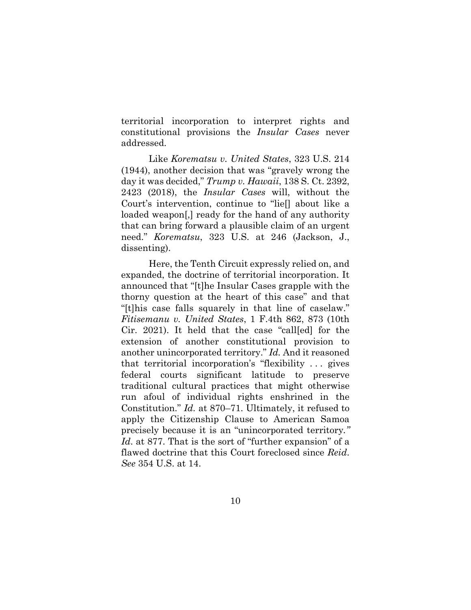territorial incorporation to interpret rights and constitutional provisions the *Insular Cases* never addressed.

Like *Korematsu v. United States*, 323 U.S. 214 (1944), another decision that was "gravely wrong the day it was decided," *Trump v. Hawaii*, 138 S. Ct. 2392, 2423 (2018), the *Insular Cases* will, without the Court's intervention, continue to "lie[] about like a loaded weapon[,] ready for the hand of any authority that can bring forward a plausible claim of an urgent need." *Korematsu*, 323 U.S. at 246 (Jackson, J., dissenting).

Here, the Tenth Circuit expressly relied on, and expanded, the doctrine of territorial incorporation. It announced that "[t]he Insular Cases grapple with the thorny question at the heart of this case" and that "[t]his case falls squarely in that line of caselaw." *Fitisemanu v. United States*, 1 F.4th 862, 873 (10th Cir. 2021). It held that the case "call[ed] for the extension of another constitutional provision to another unincorporated territory." *Id.* And it reasoned that territorial incorporation's "flexibility . . . gives federal courts significant latitude to preserve traditional cultural practices that might otherwise run afoul of individual rights enshrined in the Constitution." *Id.* at 870–71. Ultimately, it refused to apply the Citizenship Clause to American Samoa precisely because it is an "unincorporated territory*." Id*. at 877. That is the sort of "further expansion" of a flawed doctrine that this Court foreclosed since *Reid*. *See* 354 U.S. at 14.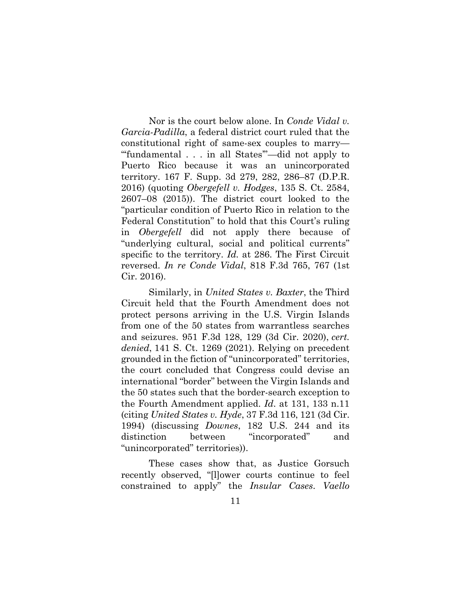Nor is the court below alone. In *Conde Vidal v. Garcia-Padilla*, a federal district court ruled that the constitutional right of same-sex couples to marry— "'fundamental . . . in all States'"—did not apply to Puerto Rico because it was an unincorporated territory. 167 F. Supp. 3d 279, 282, 286–87 (D.P.R. 2016) (quoting *Obergefell v. Hodges*, 135 S. Ct. 2584, 2607–08 (2015)). The district court looked to the "particular condition of Puerto Rico in relation to the Federal Constitution" to hold that this Court's ruling in *Obergefell* did not apply there because of "underlying cultural, social and political currents" specific to the territory. *Id.* at 286. The First Circuit reversed. *In re Conde Vidal*, 818 F.3d 765, 767 (1st Cir. 2016).

Similarly, in *United States v. Baxter*, the Third Circuit held that the Fourth Amendment does not protect persons arriving in the U.S. Virgin Islands from one of the 50 states from warrantless searches and seizures. 951 F.3d 128, 129 (3d Cir. 2020), *cert. denied*, 141 S. Ct. 1269 (2021). Relying on precedent grounded in the fiction of "unincorporated" territories, the court concluded that Congress could devise an international "border" between the Virgin Islands and the 50 states such that the border-search exception to the Fourth Amendment applied. *Id*. at 131, 133 n.11 (citing *United States v. Hyde*, 37 F.3d 116, 121 (3d Cir. 1994) (discussing *Downes*, 182 U.S. 244 and its distinction between "incorporated" and "unincorporated" territories)).

These cases show that, as Justice Gorsuch recently observed, "[l]ower courts continue to feel constrained to apply" the *Insular Cases*. *Vaello*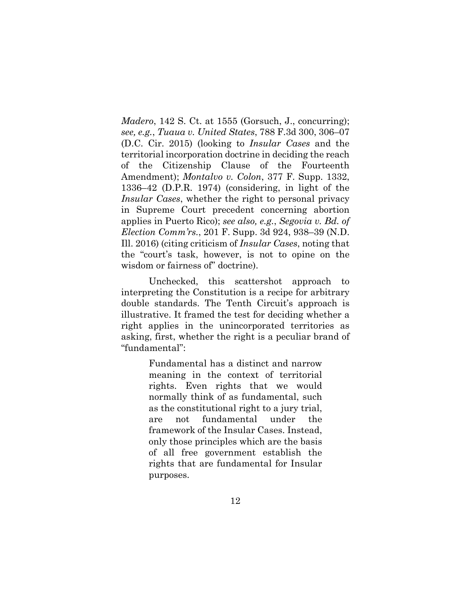*Madero*, 142 S. Ct. at 1555 (Gorsuch, J., concurring); *see, e.g.*, *Tuaua v. United States*, 788 F.3d 300, 306–07 (D.C. Cir. 2015) (looking to *Insular Cases* and the territorial incorporation doctrine in deciding the reach of the Citizenship Clause of the Fourteenth Amendment); *Montalvo v. Colon*, 377 F. Supp. 1332, 1336–42 (D.P.R. 1974) (considering, in light of the *Insular Cases*, whether the right to personal privacy in Supreme Court precedent concerning abortion applies in Puerto Rico); *see also, e.g.*, *Segovia v. Bd. of Election Comm'rs.*, 201 F. Supp. 3d 924, 938–39 (N.D. Ill. 2016) (citing criticism of *Insular Cases*, noting that the "court's task, however, is not to opine on the wisdom or fairness of" doctrine).

Unchecked, this scattershot approach to interpreting the Constitution is a recipe for arbitrary double standards. The Tenth Circuit's approach is illustrative. It framed the test for deciding whether a right applies in the unincorporated territories as asking, first, whether the right is a peculiar brand of "fundamental":

> Fundamental has a distinct and narrow meaning in the context of territorial rights. Even rights that we would normally think of as fundamental, such as the constitutional right to a jury trial, are not fundamental under the framework of the Insular Cases. Instead, only those principles which are the basis of all free government establish the rights that are fundamental for Insular purposes.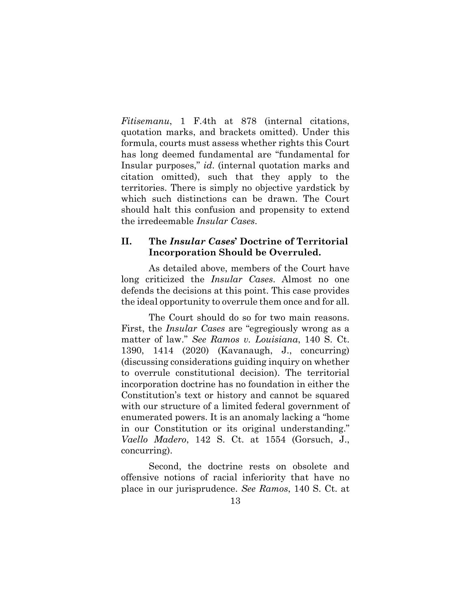*Fitisemanu*, 1 F.4th at 878 (internal citations, quotation marks, and brackets omitted). Under this formula, courts must assess whether rights this Court has long deemed fundamental are "fundamental for Insular purposes," *id*. (internal quotation marks and citation omitted), such that they apply to the territories. There is simply no objective yardstick by which such distinctions can be drawn. The Court should halt this confusion and propensity to extend the irredeemable *Insular Cases*.

### **II. The** *Insular Cases***' Doctrine of Territorial Incorporation Should be Overruled.**

<span id="page-18-0"></span>As detailed above, members of the Court have long criticized the *Insular Cases*. Almost no one defends the decisions at this point. This case provides the ideal opportunity to overrule them once and for all.

The Court should do so for two main reasons. First, the *Insular Cases* are "egregiously wrong as a matter of law." *See Ramos v. Louisiana*, 140 S. Ct. 1390, 1414 (2020) (Kavanaugh, J., concurring) (discussing considerations guiding inquiry on whether to overrule constitutional decision). The territorial incorporation doctrine has no foundation in either the Constitution's text or history and cannot be squared with our structure of a limited federal government of enumerated powers. It is an anomaly lacking a "home in our Constitution or its original understanding." *Vaello Madero*, 142 S. Ct. at 1554 (Gorsuch, J., concurring).

Second, the doctrine rests on obsolete and offensive notions of racial inferiority that have no place in our jurisprudence. *See Ramos*, 140 S. Ct. at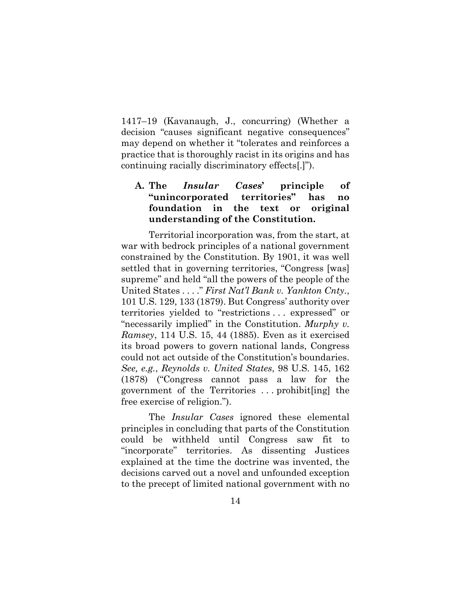1417–19 (Kavanaugh, J., concurring) (Whether a decision "causes significant negative consequences" may depend on whether it "tolerates and reinforces a practice that is thoroughly racist in its origins and has continuing racially discriminatory effects[.]").

## **A. The** *Insular Cases***' principle of "unincorporated territories" has no foundation in the text or original understanding of the Constitution.**

Territorial incorporation was, from the start, at war with bedrock principles of a national government constrained by the Constitution. By 1901, it was well settled that in governing territories, "Congress [was] supreme" and held "all the powers of the people of the United States . . . ." *First Nat'l Bank v. Yankton Cnty.*, 101 U.S. 129, 133 (1879). But Congress' authority over territories yielded to "restrictions . . . expressed" or "necessarily implied" in the Constitution. *Murphy v. Ramsey*, 114 U.S. 15, 44 (1885). Even as it exercised its broad powers to govern national lands, Congress could not act outside of the Constitution's boundaries. *See, e.g.*, *Reynolds v. United States*, 98 U.S. 145, 162 (1878) ("Congress cannot pass a law for the government of the Territories . . . prohibit[ing] the free exercise of religion.").

The *Insular Cases* ignored these elemental principles in concluding that parts of the Constitution could be withheld until Congress saw fit to "incorporate" territories. As dissenting Justices explained at the time the doctrine was invented, the decisions carved out a novel and unfounded exception to the precept of limited national government with no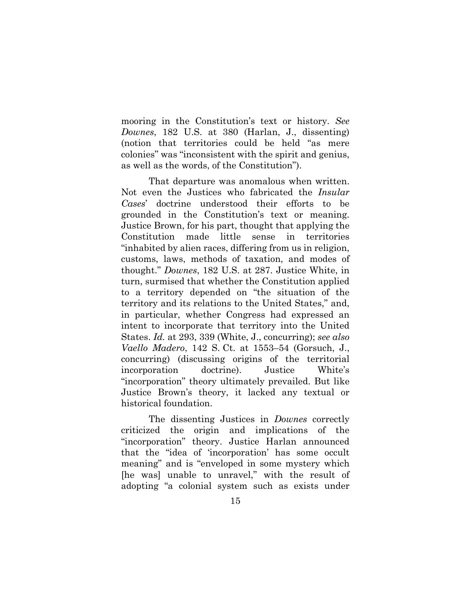mooring in the Constitution's text or history. *See Downes*, 182 U.S. at 380 (Harlan, J., dissenting) (notion that territories could be held "as mere colonies" was "inconsistent with the spirit and genius, as well as the words, of the Constitution").

That departure was anomalous when written. Not even the Justices who fabricated the *Insular Cases*' doctrine understood their efforts to be grounded in the Constitution's text or meaning. Justice Brown, for his part, thought that applying the Constitution made little sense in territories "inhabited by alien races, differing from us in religion, customs, laws, methods of taxation, and modes of thought." *Downes*, 182 U.S. at 287. Justice White, in turn, surmised that whether the Constitution applied to a territory depended on "the situation of the territory and its relations to the United States," and, in particular, whether Congress had expressed an intent to incorporate that territory into the United States. *Id.* at 293, 339 (White, J., concurring); *see also Vaello Madero*, 142 S. Ct. at 1553–54 (Gorsuch, J., concurring) (discussing origins of the territorial incorporation doctrine). Justice White's "incorporation" theory ultimately prevailed. But like Justice Brown's theory, it lacked any textual or historical foundation.

The dissenting Justices in *Downes* correctly criticized the origin and implications of the "incorporation" theory. Justice Harlan announced that the "idea of 'incorporation' has some occult meaning" and is "enveloped in some mystery which [he was] unable to unravel," with the result of adopting "a colonial system such as exists under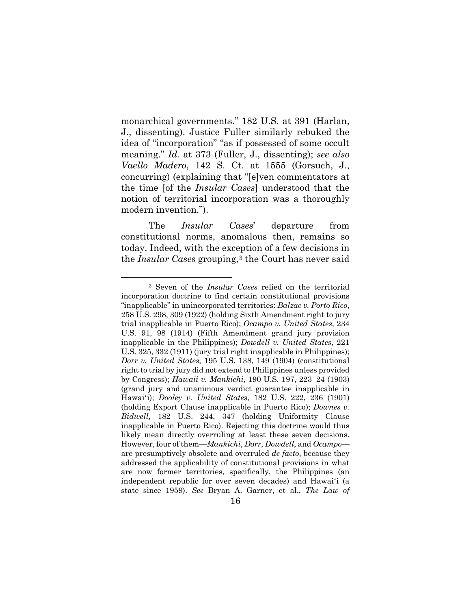monarchical governments." 182 U.S. at 391 (Harlan, J., dissenting). Justice Fuller similarly rebuked the idea of "incorporation" "as if possessed of some occult meaning." *Id.* at 373 (Fuller, J., dissenting); *see also Vaello Madero*, 142 S. Ct. at 1555 (Gorsuch, J., concurring) (explaining that "[e]ven commentators at the time [of the *Insular Cases*] understood that the notion of territorial incorporation was a thoroughly modern invention.").

The *Insular Cases*' departure from constitutional norms, anomalous then, remains so today. Indeed, with the exception of a few decisions in the *Insular Cases* grouping,<sup>[3](#page-24-0)</sup> the Court has never said

<sup>3</sup> Seven of the *Insular Cases* relied on the territorial incorporation doctrine to find certain constitutional provisions "inapplicable" in unincorporated territories: *Balzac v. Porto Rico*, 258 U.S. 298, 309 (1922) (holding Sixth Amendment right to jury trial inapplicable in Puerto Rico); *Ocampo v. United States*, 234 U.S. 91, 98 (1914) (Fifth Amendment grand jury provision inapplicable in the Philippines); *Dowdell v. United States*, 221 U.S. 325, 332 (1911) (jury trial right inapplicable in Philippines); *Dorr v. United States*, 195 U.S. 138, 149 (1904) (constitutional right to trial by jury did not extend to Philippines unless provided by Congress); *Hawaii v. Mankichi*, 190 U.S. 197, 223–24 (1903) (grand jury and unanimous verdict guarantee inapplicable in Hawaiʻi); *Dooley v. United States*, 182 U.S. 222, 236 (1901) (holding Export Clause inapplicable in Puerto Rico); *Downes v. Bidwell*, 182 U.S. 244, 347 (holding Uniformity Clause inapplicable in Puerto Rico). Rejecting this doctrine would thus likely mean directly overruling at least these seven decisions. However, four of them—*Mankichi*, *Dorr*, *Dowdell*, and *Ocampo* are presumptively obsolete and overruled *de facto*, because they addressed the applicability of constitutional provisions in what are now former territories, specifically, the Philippines (an independent republic for over seven decades) and Hawaiʻi (a state since 1959). *See* Bryan A. Garner, et al., *The Law of*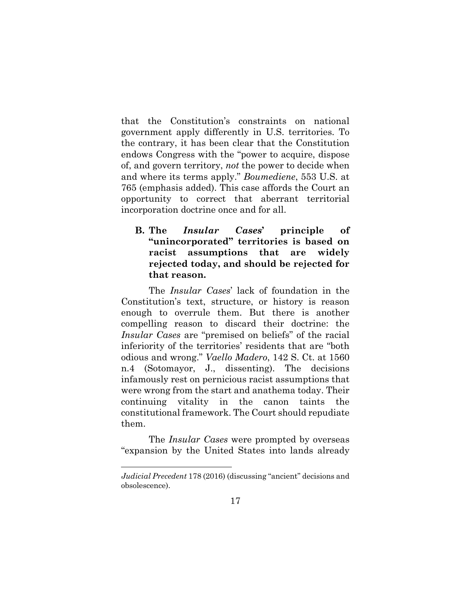that the Constitution's constraints on national government apply differently in U.S. territories. To the contrary, it has been clear that the Constitution endows Congress with the "power to acquire, dispose of, and govern territory, *not* the power to decide when and where its terms apply." *Boumediene*, 553 U.S. at 765 (emphasis added). This case affords the Court an opportunity to correct that aberrant territorial incorporation doctrine once and for all.

## **B. The** *Insular Cases***' principle of "unincorporated" territories is based on racist assumptions that are widely rejected today, and should be rejected for that reason.**

The *Insular Cases*' lack of foundation in the Constitution's text, structure, or history is reason enough to overrule them. But there is another compelling reason to discard their doctrine: the *Insular Cases* are "premised on beliefs" of the racial inferiority of the territories' residents that are "both odious and wrong." *Vaello Madero*, 142 S. Ct. at 1560 n.4 (Sotomayor, J., dissenting). The decisions infamously rest on pernicious racist assumptions that were wrong from the start and anathema today. Their continuing vitality in the canon taints the constitutional framework. The Court should repudiate them.

The *Insular Cases* were prompted by overseas "expansion by the United States into lands already

*Judicial Precedent* 178 (2016) (discussing "ancient" decisions and obsolescence).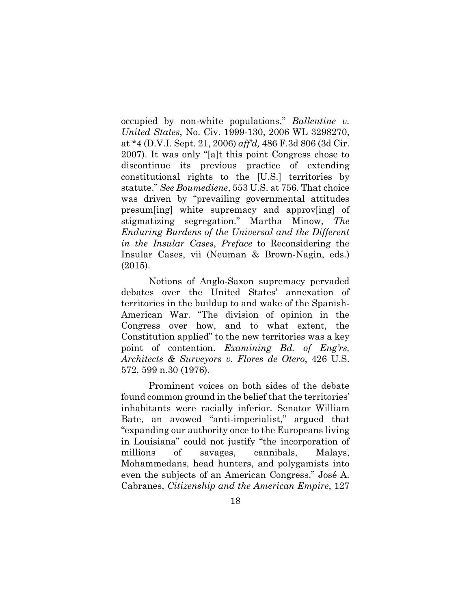occupied by non-white populations." *Ballentine v. United States*, No. Civ. 1999-130, 2006 WL 3298270, at \*4 (D.V.I. Sept. 21, 2006) *aff'd,* 486 F.3d 806 (3d Cir. 2007). It was only "[a]t this point Congress chose to discontinue its previous practice of extending constitutional rights to the [U.S.] territories by statute." *See Boumediene*, 553 U.S. at 756. That choice was driven by "prevailing governmental attitudes presum[ing] white supremacy and approv[ing] of stigmatizing segregation." Martha Minow, *The Enduring Burdens of the Universal and the Different in the Insular Cases*, *Preface* to Reconsidering the Insular Cases, vii (Neuman & Brown-Nagin, eds.) (2015).

Notions of Anglo-Saxon supremacy pervaded debates over the United States' annexation of territories in the buildup to and wake of the Spanish-American War. "The division of opinion in the Congress over how, and to what extent, the Constitution applied" to the new territories was a key point of contention. *Examining Bd. of Eng'rs, Architects & Surveyors v. Flores de Otero*, 426 U.S. 572, 599 n.30 (1976).

Prominent voices on both sides of the debate found common ground in the belief that the territories' inhabitants were racially inferior. Senator William Bate, an avowed "anti-imperialist," argued that "expanding our authority once to the Europeans living in Louisiana" could not justify "the incorporation of millions of savages, cannibals, Malays, Mohammedans, head hunters, and polygamists into even the subjects of an American Congress." José A. Cabranes, *[Citizenship and the American Empire](https://scholarship.law.upenn.edu/cgi/viewcontent.cgi?article=4838&context=penn_law_review)*, 127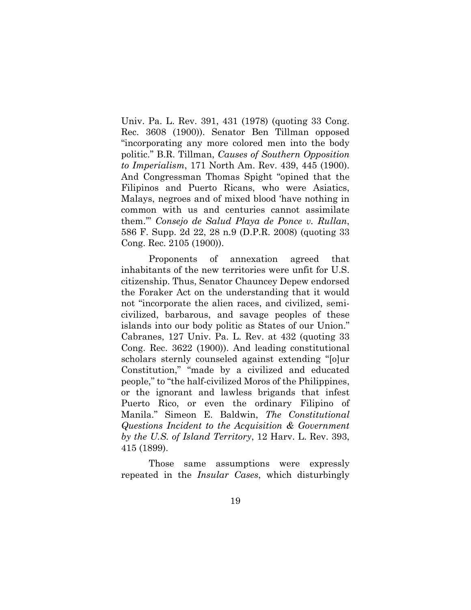Univ. Pa. L. Rev. 391, 431 (1978) (quoting 33 Cong. Rec. 3608 (1900)). Senator Ben Tillman opposed "incorporating any more colored men into the body politic." B.R. Tillman, *Causes of Southern Opposition to Imperialism*, 171 North Am. Rev. 439, 445 (1900). And Congressman Thomas Spight "opined that the Filipinos and Puerto Ricans, who were Asiatics, Malays, negroes and of mixed blood 'have nothing in common with us and centuries cannot assimilate them.'" *Consejo de Salud Playa de Ponce v. Rullan*, 586 F. Supp. 2d 22, 28 n.9 (D.P.R. 2008) (quoting 33 Cong. Rec. 2105 (1900)).

<span id="page-24-0"></span>Proponents of annexation agreed that inhabitants of the new territories were unfit for U.S. citizenship. Thus, Senator Chauncey Depew endorsed the Foraker Act on the understanding that it would not "incorporate the alien races, and civilized, semicivilized, barbarous, and savage peoples of these islands into our body politic as States of our Union." Cabranes, 127 Univ. Pa. L. Rev. at 432 (quoting 33 Cong. Rec. 3622 (1900)). And leading constitutional scholars sternly counseled against extending "[o]ur Constitution," "made by a civilized and educated people," to "the half-civilized Moros of the Philippines, or the ignorant and lawless brigands that infest Puerto Rico, or even the ordinary Filipino of Manila." Simeon E. Baldwin, *The Constitutional Questions Incident to the Acquisition & Government by the U.S. of Island Territory*, 12 Harv. L. Rev. 393, 415 (1899).

Those same assumptions were expressly repeated in the *Insular Cases*, which disturbingly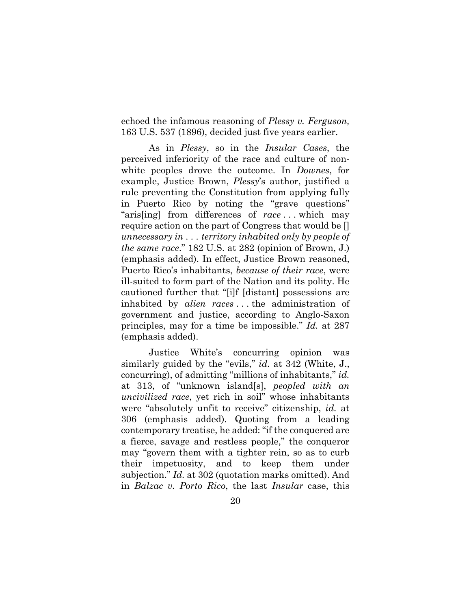echoed the infamous reasoning of *Plessy v. Ferguson,* 163 U.S. 537 (1896), decided just five years earlier.

As in *Plessy*, so in the *Insular Cases*, the perceived inferiority of the race and culture of nonwhite peoples drove the outcome. In *Downes*, for example, Justice Brown, *Plessy*'s author, justified a rule preventing the Constitution from applying fully in Puerto Rico by noting the "grave questions" "aris[ing] from differences of *race* . . . which may require action on the part of Congress that would be [] *unnecessary in . . . territory inhabited only by people of the same race*." 182 U.S. at 282 (opinion of Brown, J.) (emphasis added). In effect, Justice Brown reasoned, Puerto Rico's inhabitants, *because of their race*, were ill-suited to form part of the Nation and its polity. He cautioned further that "[i]f [distant] possessions are inhabited by *alien races* . . . the administration of government and justice, according to Anglo-Saxon principles, may for a time be impossible." *Id.* at 287 (emphasis added).

Justice White's concurring opinion was similarly guided by the "evils," *id.* at 342 (White, J., concurring), of admitting "millions of inhabitants," *id.* at 313, of "unknown island[s], *peopled with an uncivilized race*, yet rich in soil" whose inhabitants were "absolutely unfit to receive" citizenship, *id.* at 306 (emphasis added). Quoting from a leading contemporary treatise, he added: "if the conquered are a fierce, savage and restless people," the conqueror may "govern them with a tighter rein, so as to curb their impetuosity, and to keep them under subjection." *Id.* at 302 (quotation marks omitted). And in *Balzac v. Porto Rico*, the last *Insular* case, this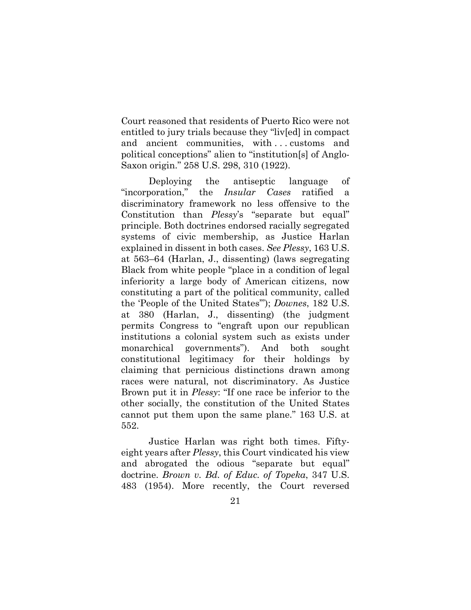Court reasoned that residents of Puerto Rico were not entitled to jury trials because they "liv[ed] in compact and ancient communities, with ... customs and political conceptions" alien to "institution[s] of Anglo-Saxon origin." 258 U.S. 298, 310 (1922).

Deploying the antiseptic language of "incorporation," the *Insular Cases* ratified a discriminatory framework no less offensive to the Constitution than *Plessy*'s "separate but equal" principle. Both doctrines endorsed racially segregated systems of civic membership, as Justice Harlan explained in dissent in both cases. *See Plessy*, 163 U.S. at 563–64 (Harlan, J., dissenting) (laws segregating Black from white people "place in a condition of legal inferiority a large body of American citizens, now constituting a part of the political community, called the 'People of the United States'"); *Downes*, 182 U.S. at 380 (Harlan, J., dissenting) (the judgment permits Congress to "engraft upon our republican institutions a colonial system such as exists under monarchical governments"). And both sought constitutional legitimacy for their holdings by claiming that pernicious distinctions drawn among races were natural, not discriminatory. As Justice Brown put it in *Plessy*: "If one race be inferior to the other socially, the constitution of the United States cannot put them upon the same plane." 163 U.S. at 552.

Justice Harlan was right both times. Fiftyeight years after *Plessy*, this Court vindicated his view and abrogated the odious "separate but equal" doctrine. *Brown v. Bd. of Educ. of Topeka*, 347 U.S. 483 (1954). More recently, the Court reversed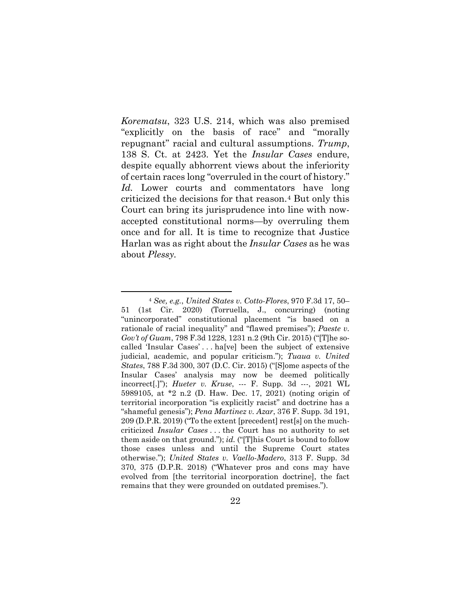*Korematsu*, 323 U.S. 214, which was also premised "explicitly on the basis of race" and "morally repugnant" racial and cultural assumptions. *Trump*, 138 S. Ct. at 2423. Yet the *Insular Cases* endure, despite equally abhorrent views about the inferiority of certain races long "overruled in the court of history." *Id.* Lower courts and commentators have long criticized the decisions for that reason.[4](#page-28-1) But only this Court can bring its jurisprudence into line with nowaccepted constitutional norms—by overruling them once and for all. It is time to recognize that Justice Harlan was as right about the *Insular Cases* as he was about *Plessy.* 

<sup>4</sup> *See, e.g.*, *United States v. Cotto-Flores*, 970 F.3d 17, 50– 51 (1st Cir. 2020) (Torruella, J., concurring) (noting "unincorporated" constitutional placement "is based on a rationale of racial inequality" and "flawed premises"); *Paeste v. Gov't of Guam*, 798 F.3d 1228, 1231 n.2 (9th Cir. 2015) ("[T]he socalled 'Insular Cases' . . . ha[ve] been the subject of extensive judicial, academic, and popular criticism."); *Tuaua v. United States*, 788 F.3d 300, 307 (D.C. Cir. 2015) ("[S]ome aspects of the Insular Cases' analysis may now be deemed politically incorrect[.]"); *Hueter v. Kruse*, --- F. Supp. 3d ---, 2021 WL 5989105, at \*2 n.2 (D. Haw. Dec. 17, 2021) (noting origin of territorial incorporation "is explicitly racist" and doctrine has a "shameful genesis"); *Pena Martinez v. Azar*, 376 F. Supp. 3d 191, 209 (D.P.R. 2019) ("To the extent [precedent] rest[s] on the muchcriticized *Insular Cases* . . . the Court has no authority to set them aside on that ground."); *id.* ("[T]his Court is bound to follow those cases unless and until the Supreme Court states otherwise."); *United States v. Vaello-Madero*, 313 F. Supp. 3d 370, 375 (D.P.R. 2018) ("Whatever pros and cons may have evolved from [the territorial incorporation doctrine], the fact remains that they were grounded on outdated premises.").